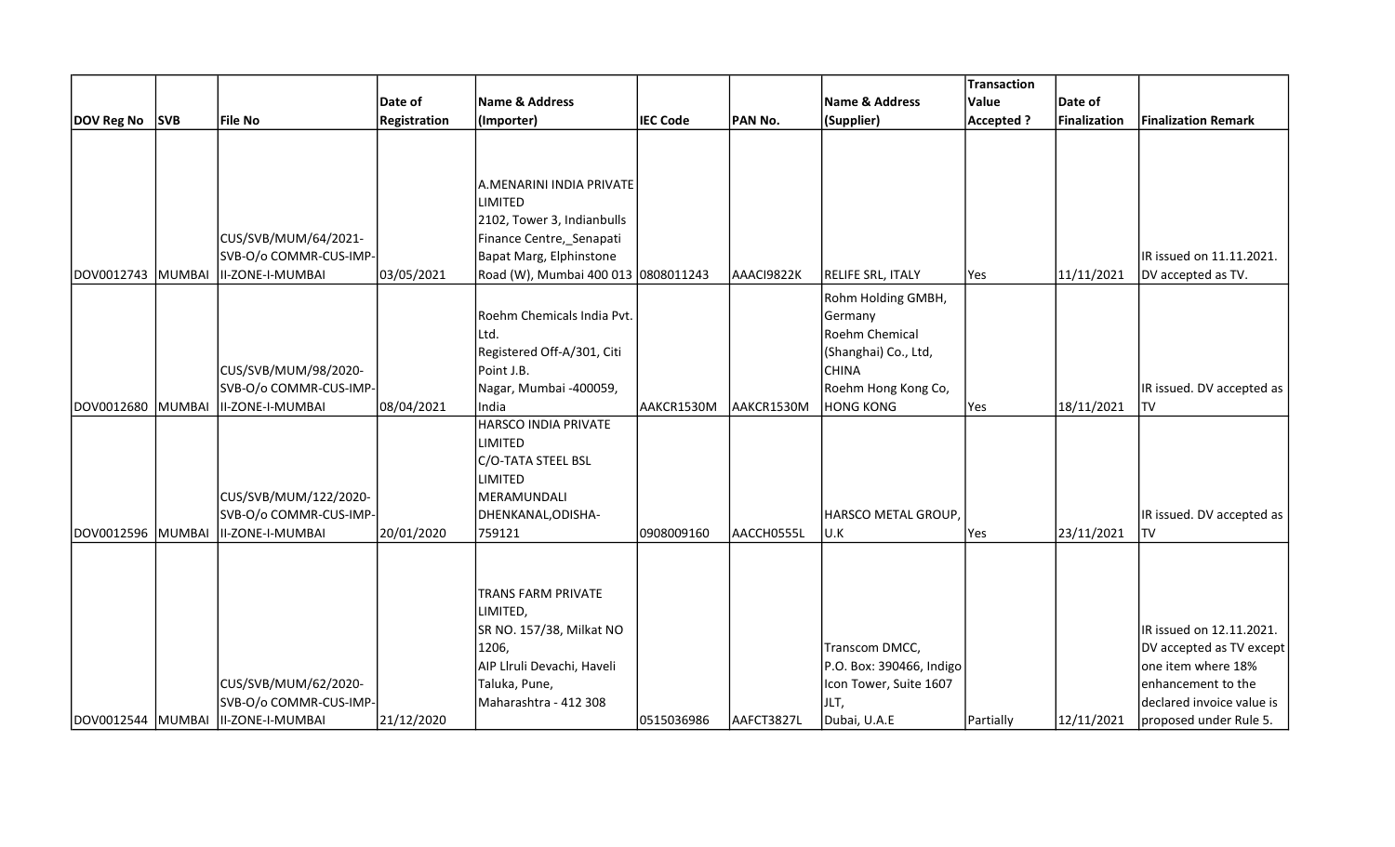|                   |                |                                                |                     |                                        |                 |            |                                | Transaction      |              |                                                 |
|-------------------|----------------|------------------------------------------------|---------------------|----------------------------------------|-----------------|------------|--------------------------------|------------------|--------------|-------------------------------------------------|
|                   |                |                                                | Date of             | Name & Address                         |                 |            | <b>Name &amp; Address</b>      | Value            | Date of      |                                                 |
| <b>DOV Reg No</b> | <b>SVB</b>     | File No                                        | <b>Registration</b> | (Importer)                             | <b>IEC Code</b> | PAN No.    | (Supplier)                     | <b>Accepted?</b> | Finalization | <b>Finalization Remark</b>                      |
|                   |                |                                                |                     |                                        |                 |            |                                |                  |              |                                                 |
|                   |                |                                                |                     |                                        |                 |            |                                |                  |              |                                                 |
|                   |                |                                                |                     |                                        |                 |            |                                |                  |              |                                                 |
|                   |                |                                                |                     | A.MENARINI INDIA PRIVATE<br>LIMITED    |                 |            |                                |                  |              |                                                 |
|                   |                |                                                |                     | 2102, Tower 3, Indianbulls             |                 |            |                                |                  |              |                                                 |
|                   |                | CUS/SVB/MUM/64/2021-                           |                     | Finance Centre, Senapati               |                 |            |                                |                  |              |                                                 |
|                   |                | SVB-O/o COMMR-CUS-IMP-                         |                     | Bapat Marg, Elphinstone                |                 |            |                                |                  |              | IR issued on 11.11.2021.                        |
| DOV0012743        | MUMBAI         | II-ZONE-I-MUMBAI                               | 03/05/2021          | Road (W), Mumbai 400 013 0808011243    |                 | AAACI9822K | RELIFE SRL, ITALY              | Yes              | 11/11/2021   | DV accepted as TV.                              |
|                   |                |                                                |                     |                                        |                 |            |                                |                  |              |                                                 |
|                   |                |                                                |                     |                                        |                 |            | Rohm Holding GMBH,             |                  |              |                                                 |
|                   |                |                                                |                     | Roehm Chemicals India Pvt.             |                 |            | Germany                        |                  |              |                                                 |
|                   |                |                                                |                     | Ltd.                                   |                 |            | <b>Roehm Chemical</b>          |                  |              |                                                 |
|                   |                |                                                |                     | Registered Off-A/301, Citi             |                 |            | (Shanghai) Co., Ltd,           |                  |              |                                                 |
|                   |                | CUS/SVB/MUM/98/2020-                           |                     | Point J.B.                             |                 |            | <b>CHINA</b>                   |                  |              |                                                 |
|                   |                | SVB-O/o COMMR-CUS-IMP-                         |                     | Nagar, Mumbai -400059,                 |                 |            | Roehm Hong Kong Co,            |                  |              | IR issued. DV accepted as                       |
| DOV0012680        | <b>IMUMBAI</b> | II-ZONE-I-MUMBAI                               | 08/04/2021          | India<br>HARSCO INDIA PRIVATE          | AAKCR1530M      | AAKCR1530M | <b>HONG KONG</b>               | Yes              | 18/11/2021   | TV                                              |
|                   |                |                                                |                     | <b>LIMITED</b>                         |                 |            |                                |                  |              |                                                 |
|                   |                |                                                |                     | C/O-TATA STEEL BSL                     |                 |            |                                |                  |              |                                                 |
|                   |                |                                                |                     | <b>LIMITED</b>                         |                 |            |                                |                  |              |                                                 |
|                   |                | CUS/SVB/MUM/122/2020-                          |                     | MERAMUNDALI                            |                 |            |                                |                  |              |                                                 |
|                   |                | SVB-O/o COMMR-CUS-IMP-                         |                     | DHENKANAL, ODISHA-                     |                 |            | HARSCO METAL GROUP,            |                  |              | IR issued. DV accepted as                       |
| DOV0012596        | MUMBAI         | II-ZONE-I-MUMBAI                               | 20/01/2020          | 759121                                 | 0908009160      | AACCH0555L | U.K                            | <b>Yes</b>       | 23/11/2021   | TV                                              |
|                   |                |                                                |                     |                                        |                 |            |                                |                  |              |                                                 |
|                   |                |                                                |                     |                                        |                 |            |                                |                  |              |                                                 |
|                   |                |                                                |                     |                                        |                 |            |                                |                  |              |                                                 |
|                   |                |                                                |                     | <b>TRANS FARM PRIVATE</b>              |                 |            |                                |                  |              |                                                 |
|                   |                |                                                |                     | LIMITED,                               |                 |            |                                |                  |              |                                                 |
|                   |                |                                                |                     | SR NO. 157/38, Milkat NO               |                 |            |                                |                  |              | IR issued on 12.11.2021.                        |
|                   |                |                                                |                     | 1206,                                  |                 |            | Transcom DMCC,                 |                  |              | DV accepted as TV except                        |
|                   |                |                                                |                     | AIP Llruli Devachi, Haveli             |                 |            | P.O. Box: 390466, Indigo       |                  |              | one item where 18%                              |
|                   |                | CUS/SVB/MUM/62/2020-<br>SVB-O/o COMMR-CUS-IMP- |                     | Taluka, Pune,<br>Maharashtra - 412 308 |                 |            | Icon Tower, Suite 1607<br>JLT, |                  |              | enhancement to the<br>declared invoice value is |
|                   |                |                                                |                     |                                        |                 |            |                                |                  |              |                                                 |
|                   |                | DOV0012544 MUMBAI  II-ZONE-I-MUMBAI            | 21/12/2020          |                                        | 0515036986      | AAFCT3827L | Dubai, U.A.E                   | Partially        | 12/11/2021   | proposed under Rule 5.                          |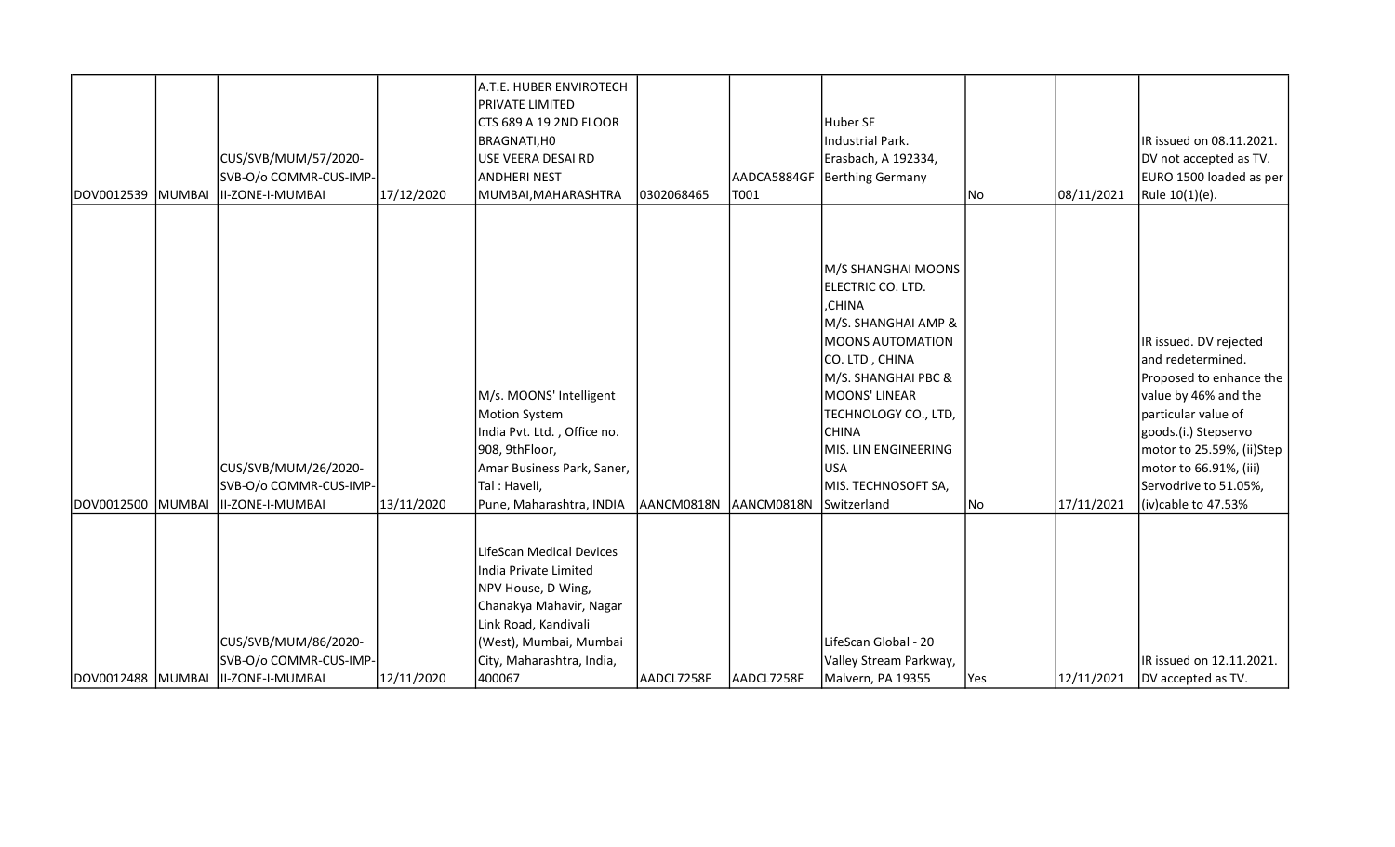| DOV0012539 MUMBAI | CUS/SVB/MUM/57/2020-<br>SVB-O/o COMMR-CUS-IMP-<br>II-ZONE-I-MUMBAI                   | 17/12/2020 | A.T.E. HUBER ENVIROTECH<br><b>PRIVATE LIMITED</b><br>CTS 689 A 19 2ND FLOOR<br>BRAGNATI, HO<br>USE VEERA DESAI RD<br>ANDHERI NEST<br>MUMBAI, MAHARASHTRA                                    | 0302068465 | AADCA5884GF<br>T001 | Huber SE<br><b>Industrial Park.</b><br>Erasbach, A 192334,<br><b>Berthing Germany</b>                                                                                                                                                                                                    | No  | 08/11/2021 | IR issued on 08.11.2021.<br>DV not accepted as TV.<br>EURO 1500 loaded as per<br>Rule 10(1)(e).                                                                                                                                                      |
|-------------------|--------------------------------------------------------------------------------------|------------|---------------------------------------------------------------------------------------------------------------------------------------------------------------------------------------------|------------|---------------------|------------------------------------------------------------------------------------------------------------------------------------------------------------------------------------------------------------------------------------------------------------------------------------------|-----|------------|------------------------------------------------------------------------------------------------------------------------------------------------------------------------------------------------------------------------------------------------------|
|                   |                                                                                      |            |                                                                                                                                                                                             |            |                     |                                                                                                                                                                                                                                                                                          |     |            |                                                                                                                                                                                                                                                      |
| DOV0012500 MUMBAI | CUS/SVB/MUM/26/2020-<br>SVB-O/o COMMR-CUS-IMP-<br>II-ZONE-I-MUMBAI                   | 13/11/2020 | M/s. MOONS' Intelligent<br>Motion System<br>India Pvt. Ltd., Office no.<br>908, 9thFloor,<br>Amar Business Park, Saner,<br>Tal: Haveli,<br>Pune, Maharashtra, INDIA                         | AANCM0818N | AANCM0818N          | M/S SHANGHAI MOONS<br>ELECTRIC CO. LTD.<br>,CHINA<br>M/S. SHANGHAI AMP &<br><b>MOONS AUTOMATION</b><br>CO. LTD, CHINA<br>M/S. SHANGHAI PBC &<br><b>MOONS' LINEAR</b><br>TECHNOLOGY CO., LTD,<br><b>CHINA</b><br>MIS. LIN ENGINEERING<br><b>USA</b><br>MIS. TECHNOSOFT SA,<br>Switzerland | No  | 17/11/2021 | IR issued. DV rejected<br>and redetermined.<br>Proposed to enhance the<br>value by 46% and the<br>particular value of<br>goods.(i.) Stepservo<br>motor to 25.59%, (ii)Step<br>motor to 66.91%, (iii)<br>Servodrive to 51.05%,<br>(iv)cable to 47.53% |
|                   | CUS/SVB/MUM/86/2020-<br>SVB-O/o COMMR-CUS-IMP-<br>DOV0012488 MUMBAI II-ZONE-I-MUMBAI | 12/11/2020 | LifeScan Medical Devices<br>India Private Limited<br>NPV House, D Wing,<br>Chanakya Mahavir, Nagar<br>Link Road, Kandivali<br>(West), Mumbai, Mumbai<br>City, Maharashtra, India,<br>400067 | AADCL7258F | AADCL7258F          | LifeScan Global - 20<br>Valley Stream Parkway,<br>Malvern, PA 19355                                                                                                                                                                                                                      | Yes | 12/11/2021 | IR issued on 12.11.2021.<br>DV accepted as TV.                                                                                                                                                                                                       |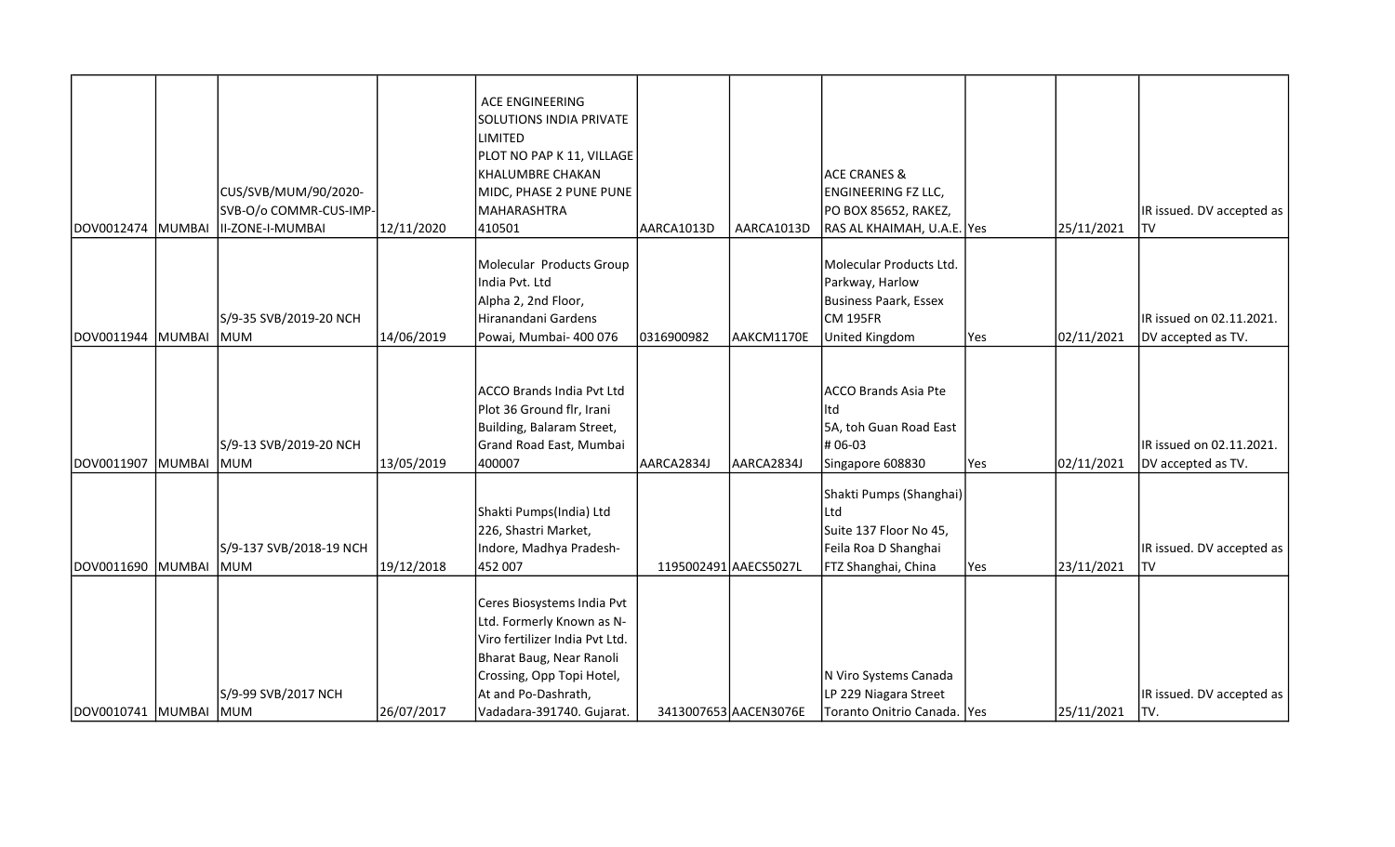|                         |        | CUS/SVB/MUM/90/2020-                  |            | ACE ENGINEERING<br><b>SOLUTIONS INDIA PRIVATE</b><br><b>LIMITED</b><br>PLOT NO PAP K 11, VILLAGE<br><b>KHALUMBRE CHAKAN</b><br>MIDC, PHASE 2 PUNE PUNE                                                 |                       |                       | <b>ACE CRANES &amp;</b><br><b>ENGINEERING FZ LLC,</b>                                                   |     |            |                                                |
|-------------------------|--------|---------------------------------------|------------|--------------------------------------------------------------------------------------------------------------------------------------------------------------------------------------------------------|-----------------------|-----------------------|---------------------------------------------------------------------------------------------------------|-----|------------|------------------------------------------------|
|                         |        | SVB-O/o COMMR-CUS-IMP-                |            | MAHARASHTRA                                                                                                                                                                                            |                       |                       | PO BOX 85652, RAKEZ,                                                                                    |     |            | IR issued. DV accepted as                      |
| DOV0012474              | MUMBAI | II-ZONE-I-MUMBAI                      | 12/11/2020 | 410501                                                                                                                                                                                                 | AARCA1013D            | AARCA1013D            | RAS AL KHAIMAH, U.A.E. Yes                                                                              |     | 25/11/2021 | <b>TV</b>                                      |
|                         |        | S/9-35 SVB/2019-20 NCH                |            | Molecular Products Group<br>India Pvt. Ltd<br>Alpha 2, 2nd Floor,<br>Hiranandani Gardens                                                                                                               |                       |                       | Molecular Products Ltd.<br>Parkway, Harlow<br><b>Business Paark, Essex</b><br><b>CM 195FR</b>           |     |            | IR issued on 02.11.2021.                       |
| DOV0011944              | MUMBAI | <b>MUM</b>                            | 14/06/2019 | Powai, Mumbai- 400 076                                                                                                                                                                                 | 0316900982            | AAKCM1170E            | United Kingdom                                                                                          | Yes | 02/11/2021 | DV accepted as TV.                             |
| DOV0011907              | MUMBAI | S/9-13 SVB/2019-20 NCH<br>MUM         | 13/05/2019 | ACCO Brands India Pvt Ltd<br>Plot 36 Ground flr, Irani<br>Building, Balaram Street,<br>Grand Road East, Mumbai<br>400007                                                                               | AARCA2834J            | AARCA2834J            | <b>ACCO Brands Asia Pte</b><br>ltd<br>5A, toh Guan Road East<br>#06-03<br>Singapore 608830              | Yes | 02/11/2021 | IR issued on 02.11.2021.<br>DV accepted as TV. |
| DOV0011690 MUMBAI       |        | S/9-137 SVB/2018-19 NCH<br><b>MUM</b> | 19/12/2018 | Shakti Pumps(India) Ltd<br>226, Shastri Market,<br>Indore, Madhya Pradesh-<br>452 007                                                                                                                  | 1195002491 AAECS5027L |                       | Shakti Pumps (Shanghai)<br>Ltd<br>Suite 137 Floor No 45,<br>Feila Roa D Shanghai<br>FTZ Shanghai, China | Yes | 23/11/2021 | IR issued. DV accepted as<br>TV                |
| DOV0010741  MUMBAI  MUM |        | S/9-99 SVB/2017 NCH                   | 26/07/2017 | Ceres Biosystems India Pvt<br>Ltd. Formerly Known as N-<br>Viro fertilizer India Pvt Ltd.<br>Bharat Baug, Near Ranoli<br>Crossing, Opp Topi Hotel,<br>At and Po-Dashrath,<br>Vadadara-391740. Gujarat. |                       | 3413007653 AACEN3076E | N Viro Systems Canada<br>LP 229 Niagara Street<br>Toranto Onitrio Canada.   Yes                         |     | 25/11/2021 | IR issued. DV accepted as<br>ITV.              |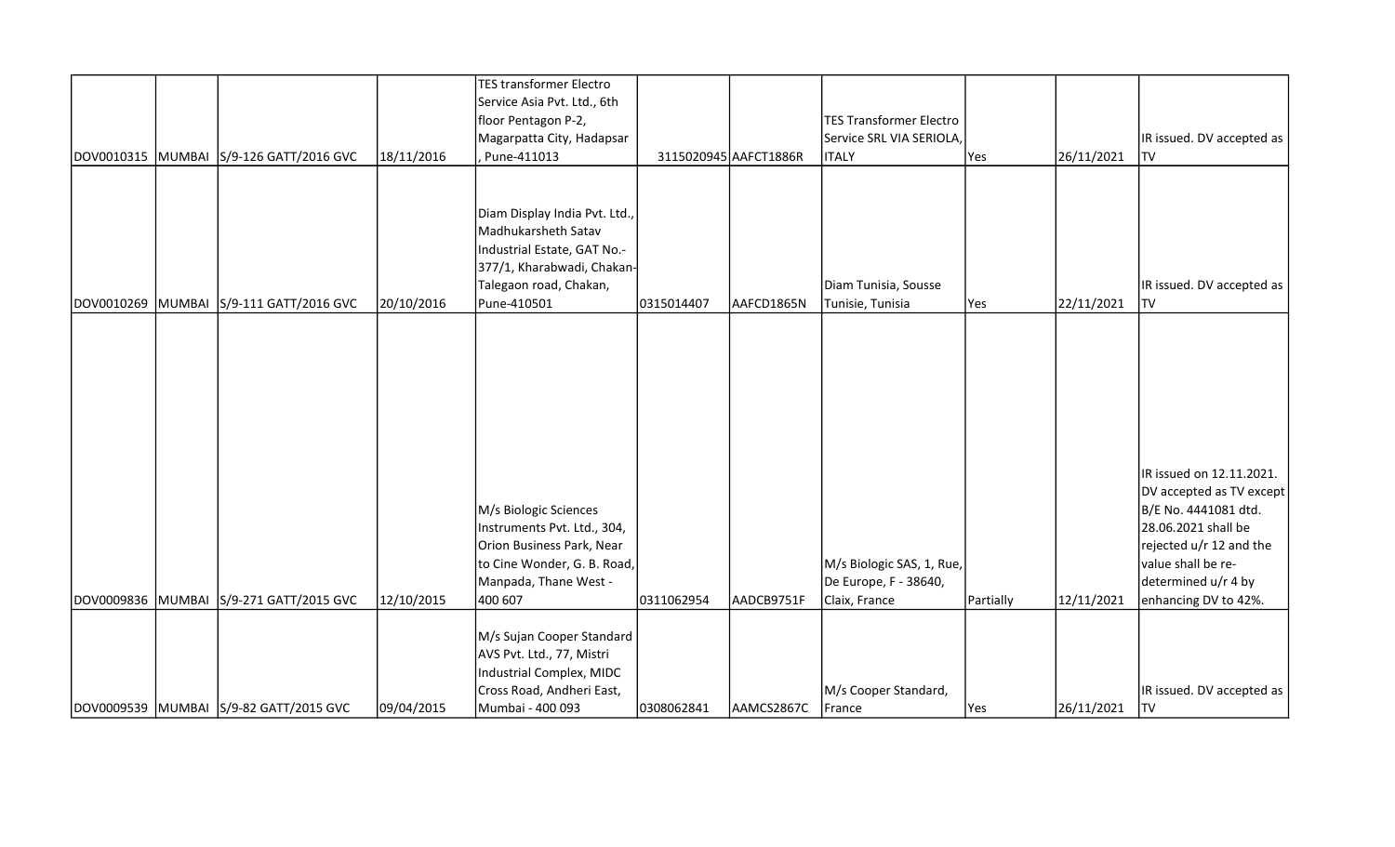|  |                                                                                   |                          | <b>TES transformer Electro</b><br>Service Asia Pvt. Ltd., 6th<br>floor Pentagon P-2,<br>Magarpatta City, Hadapsar                              |                          |                          | <b>TES Transformer Electro</b><br>Service SRL VIA SERIOLA, |                         |                          | IR issued. DV accepted as                                                                                                                                                   |
|--|-----------------------------------------------------------------------------------|--------------------------|------------------------------------------------------------------------------------------------------------------------------------------------|--------------------------|--------------------------|------------------------------------------------------------|-------------------------|--------------------------|-----------------------------------------------------------------------------------------------------------------------------------------------------------------------------|
|  | DOV0010315 MUMBAI S/9-126 GATT/2016 GVC                                           | 18/11/2016               | Pune-411013                                                                                                                                    |                          | 3115020945 AAFCT1886R    | <b>ITALY</b>                                               | Yes                     | 26/11/2021               | <b>TV</b>                                                                                                                                                                   |
|  |                                                                                   |                          | Diam Display India Pvt. Ltd.,<br>Madhukarsheth Satav<br>Industrial Estate, GAT No .-<br>377/1, Kharabwadi, Chakan-<br>Talegaon road, Chakan,   |                          |                          | Diam Tunisia, Sousse                                       |                         |                          | IR issued. DV accepted as                                                                                                                                                   |
|  | DOV0010269 MUMBAI S/9-111 GATT/2016 GVC                                           | 20/10/2016               | Pune-410501                                                                                                                                    | 0315014407               | AAFCD1865N               | Tunisie, Tunisia                                           | Yes                     | 22/11/2021               | <b>TV</b>                                                                                                                                                                   |
|  |                                                                                   |                          | M/s Biologic Sciences<br>Instruments Pvt. Ltd., 304,<br>Orion Business Park, Near<br>to Cine Wonder, G. B. Road,<br>Manpada, Thane West -      |                          |                          | M/s Biologic SAS, 1, Rue,<br>De Europe, F - 38640,         |                         |                          | IR issued on 12.11.2021.<br>DV accepted as TV except<br>B/E No. 4441081 dtd.<br>28.06.2021 shall be<br>rejected u/r 12 and the<br>value shall be re-<br>determined u/r 4 by |
|  | DOV0009836 MUMBAI S/9-271 GATT/2015 GVC<br>DOV0009539 MUMBAI S/9-82 GATT/2015 GVC | 12/10/2015<br>09/04/2015 | 400 607<br>M/s Sujan Cooper Standard<br>AVS Pvt. Ltd., 77, Mistri<br>Industrial Complex, MIDC<br>Cross Road, Andheri East,<br>Mumbai - 400 093 | 0311062954<br>0308062841 | AADCB9751F<br>AAMCS2867C | Claix, France<br>M/s Cooper Standard,<br>France            | Partially<br><b>Yes</b> | 12/11/2021<br>26/11/2021 | enhancing DV to 42%.<br>IR issued. DV accepted as<br><b>TV</b>                                                                                                              |